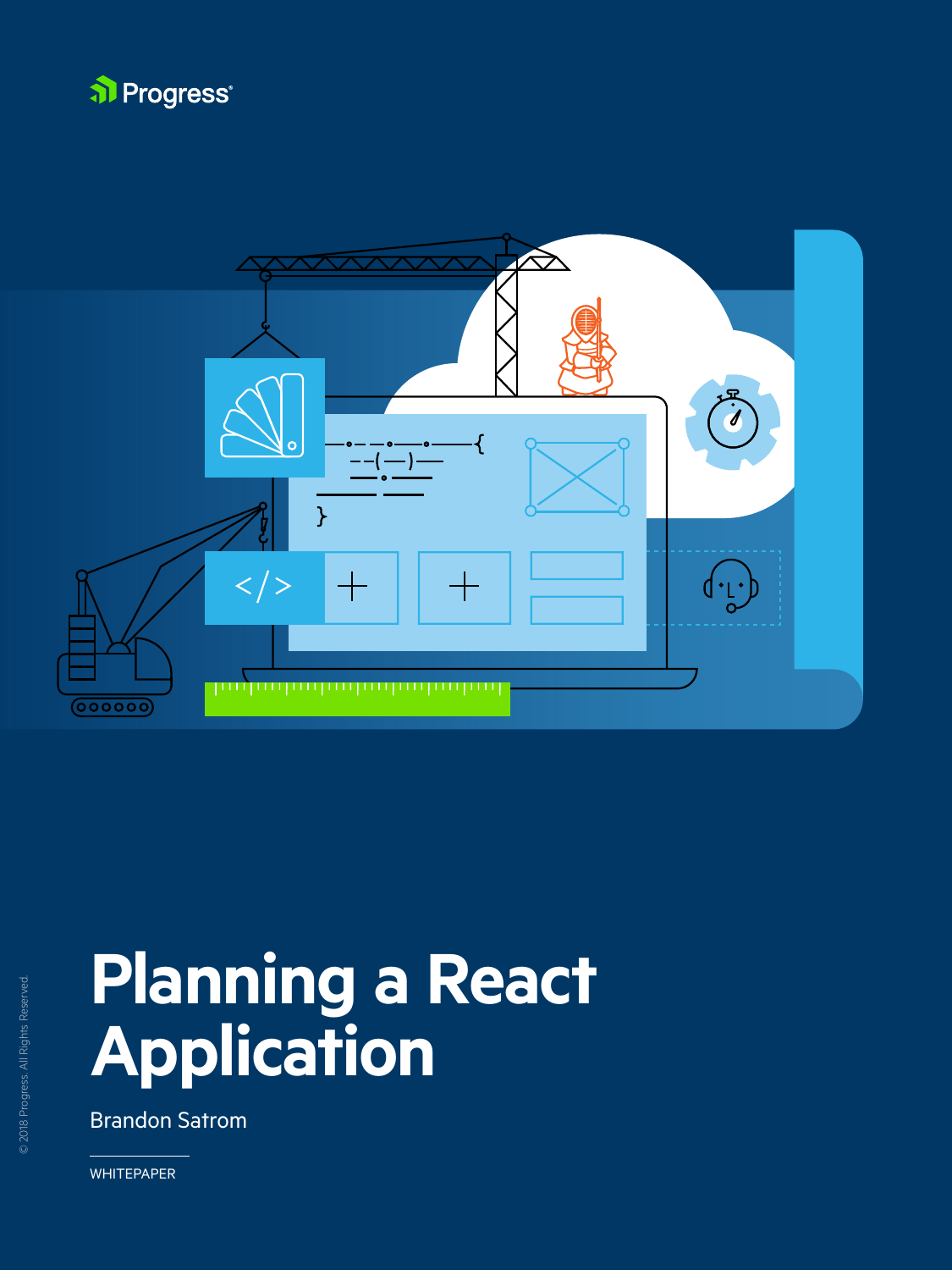



# **Planning a React Application**



Brandon Satrom

WHITEPAPER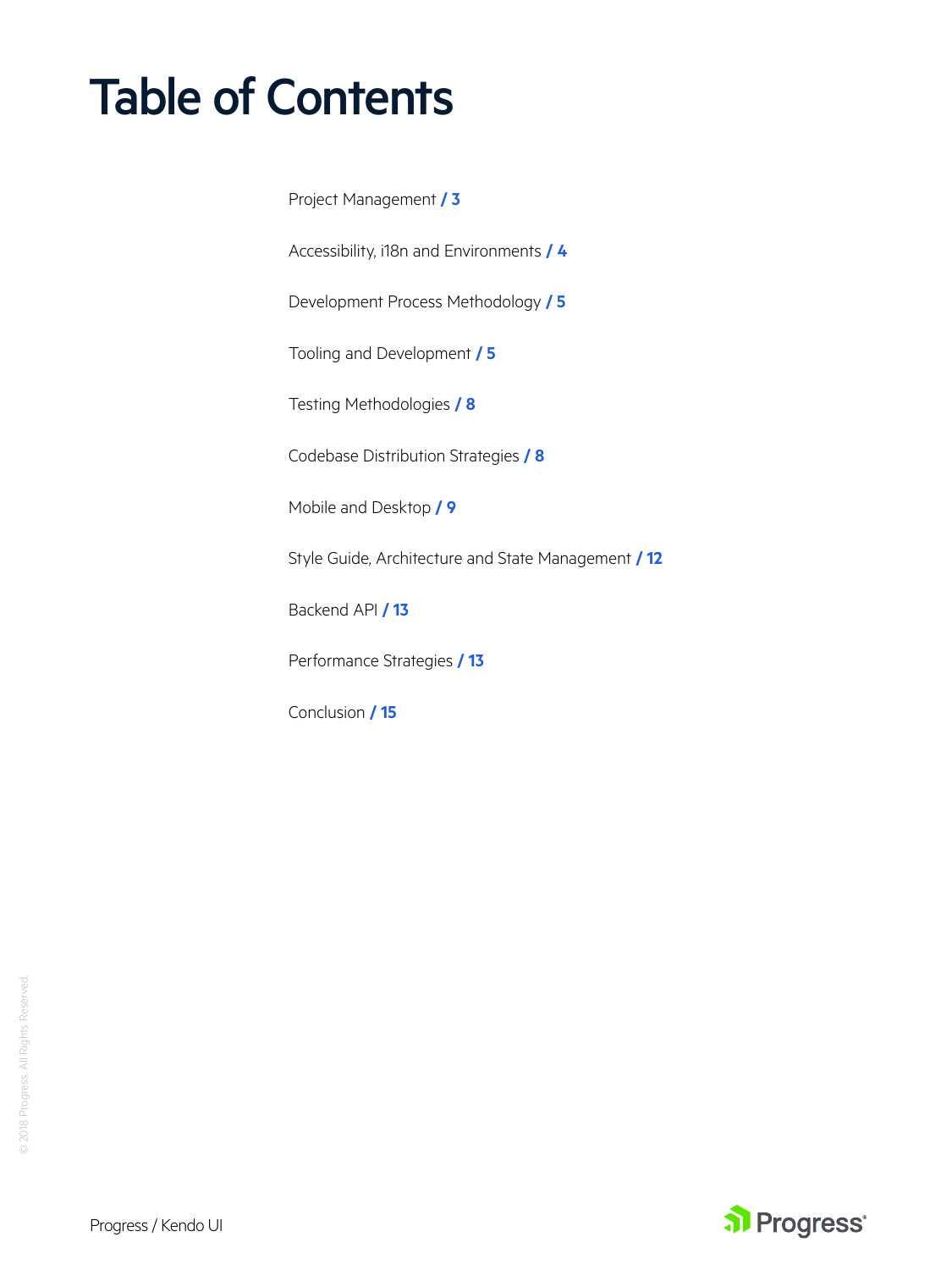# Table of Contents

[Project Management](#page-2-0) **/ 3**

[Accessibility, i18n and Environments](#page-3-0) **/ 4**

[Development Process Methodology](#page-4-0) **/ 5**

[Tooling and Development](#page-4-0) **/ 5**

[Testing Methodologies](#page-7-0) **/ 8**

[Codebase Distribution Strategies](#page-7-0) **/ 8**

[Mobile and Desktop](#page-8-0) **/ 9**

[Style Guide, Architecture and State Management](#page-10-0) **/ 12**

[Backend API](#page-11-0) **/ 13**

[Performance Strategies](#page-12-0) **/ 13**

Conclusion **[/ 1](#page-12-0)5**

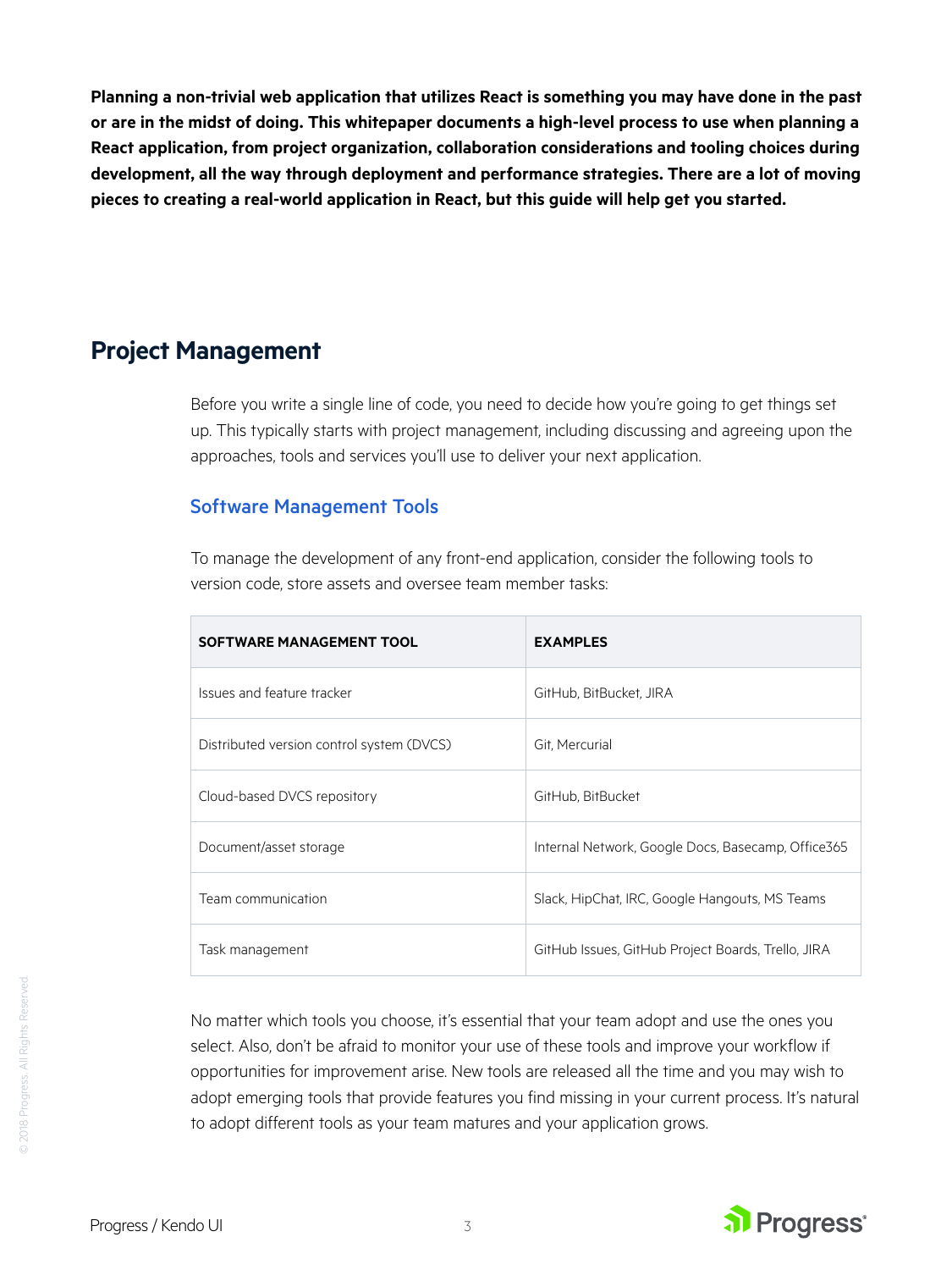<span id="page-2-0"></span>**Planning a non-trivial web application that utilizes React is something you may have done in the past or are in the midst of doing. This whitepaper documents a high-level process to use when planning a React application, from project organization, collaboration considerations and tooling choices during development, all the way through deployment and performance strategies. There are a lot of moving pieces to creating a real-world application in React, but this guide will help get you started.**

# **Project Management**

Before you write a single line of code, you need to decide how you're going to get things set up. This typically starts with project management, including discussing and agreeing upon the approaches, tools and services you'll use to deliver your next application.

#### Software Management Tools

To manage the development of any front-end application, consider the following tools to version code, store assets and oversee team member tasks:

| SOFTWARE MANAGEMENT TOOL                  | <b>EXAMPLES</b>                                    |
|-------------------------------------------|----------------------------------------------------|
| Issues and feature tracker                | GitHub, BitBucket, JIRA                            |
| Distributed version control system (DVCS) | Git, Mercurial                                     |
| Cloud-based DVCS repository               | GitHub, BitBucket                                  |
| Document/asset storage                    | Internal Network, Google Docs, Basecamp, Office365 |
| Team communication                        | Slack, HipChat, IRC, Google Hangouts, MS Teams     |
| Task management                           | GitHub Issues, GitHub Project Boards, Trello, JIRA |

No matter which tools you choose, it's essential that your team adopt and use the ones you select. Also, don't be afraid to monitor your use of these tools and improve your workflow if opportunities for improvement arise. New tools are released all the time and you may wish to adopt emerging tools that provide features you find missing in your current process. It's natural to adopt different tools as your team matures and your application grows.

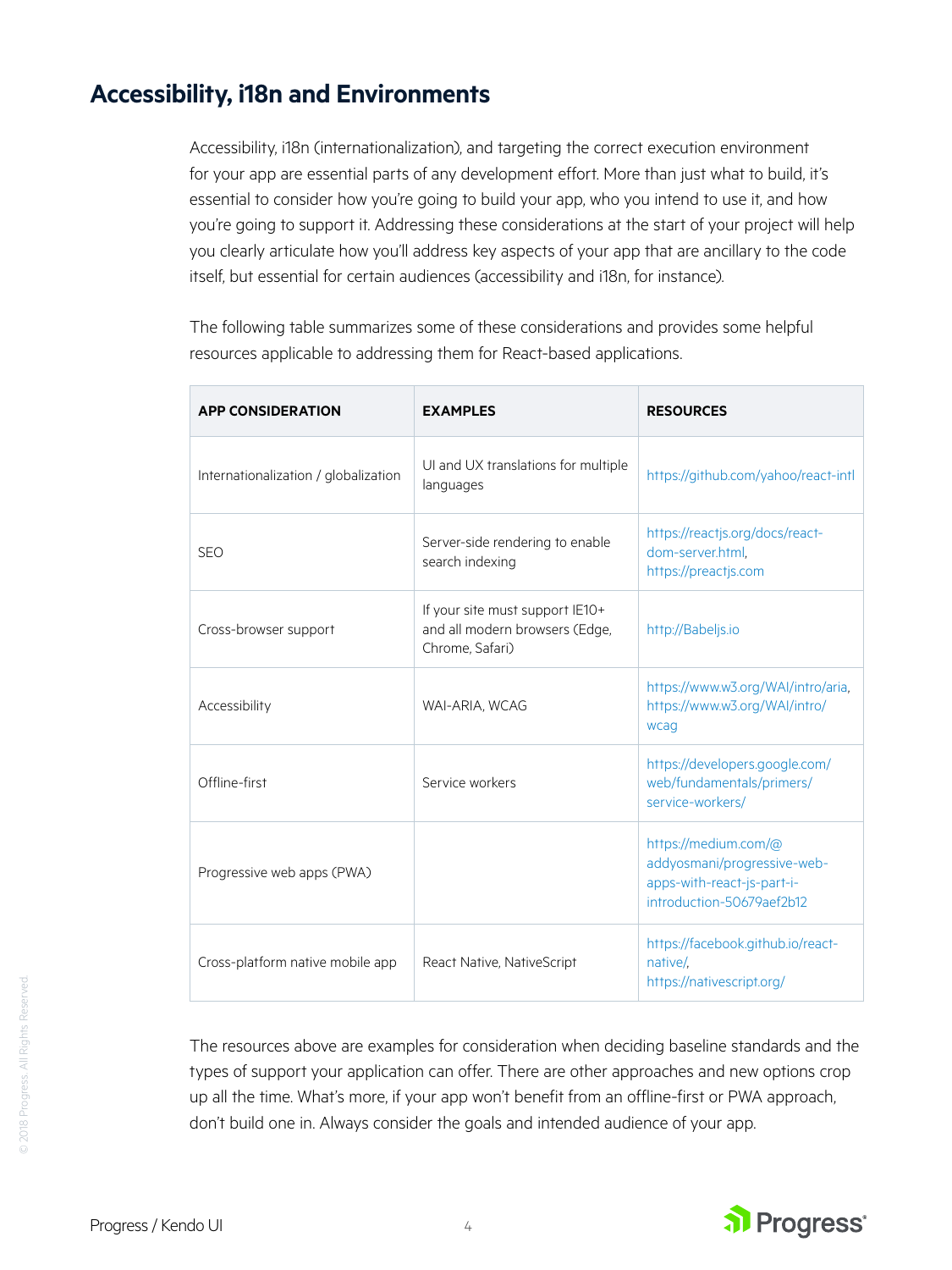# <span id="page-3-0"></span>**Accessibility, i18n and Environments**

Accessibility, i18n (internationalization), and targeting the correct execution environment for your app are essential parts of any development effort. More than just what to build, it's essential to consider how you're going to build your app, who you intend to use it, and how you're going to support it. Addressing these considerations at the start of your project will help you clearly articulate how you'll address key aspects of your app that are ancillary to the code itself, but essential for certain audiences (accessibility and i18n, for instance).

The following table summarizes some of these considerations and provides some helpful resources applicable to addressing them for React-based applications.

| <b>APP CONSIDERATION</b>             | <b>EXAMPLES</b>                                                                      | <b>RESOURCES</b>                                                                                               |
|--------------------------------------|--------------------------------------------------------------------------------------|----------------------------------------------------------------------------------------------------------------|
| Internationalization / globalization | UI and UX translations for multiple<br>languages                                     | https://github.com/yahoo/react-intl                                                                            |
| <b>SEO</b>                           | Server-side rendering to enable<br>search indexing                                   | https://reactjs.org/docs/react-<br>dom-server.html.<br>https://preactjs.com                                    |
| Cross-browser support                | If your site must support IE10+<br>and all modern browsers (Edge,<br>Chrome, Safari) | http://Babeljs.io                                                                                              |
| Accessibility                        | WAI-ARIA, WCAG                                                                       | https://www.w3.org/WAI/intro/aria,<br>https://www.w3.org/WAI/intro/<br>wcag                                    |
| Offline-first                        | Service workers                                                                      | https://developers.google.com/<br>web/fundamentals/primers/<br>service-workers/                                |
| Progressive web apps (PWA)           |                                                                                      | https://medium.com/@<br>addyosmani/progressive-web-<br>apps-with-react-js-part-i-<br>introduction-50679aef2b12 |
| Cross-platform native mobile app     | React Native, NativeScript                                                           | https://facebook.github.io/react-<br>native/.<br>https://nativescript.org/                                     |

The resources above are examples for consideration when deciding baseline standards and the types of support your application can offer. There are other approaches and new options crop up all the time. What's more, if your app won't benefit from an offline-first or PWA approach, don't build one in. Always consider the goals and intended audience of your app.

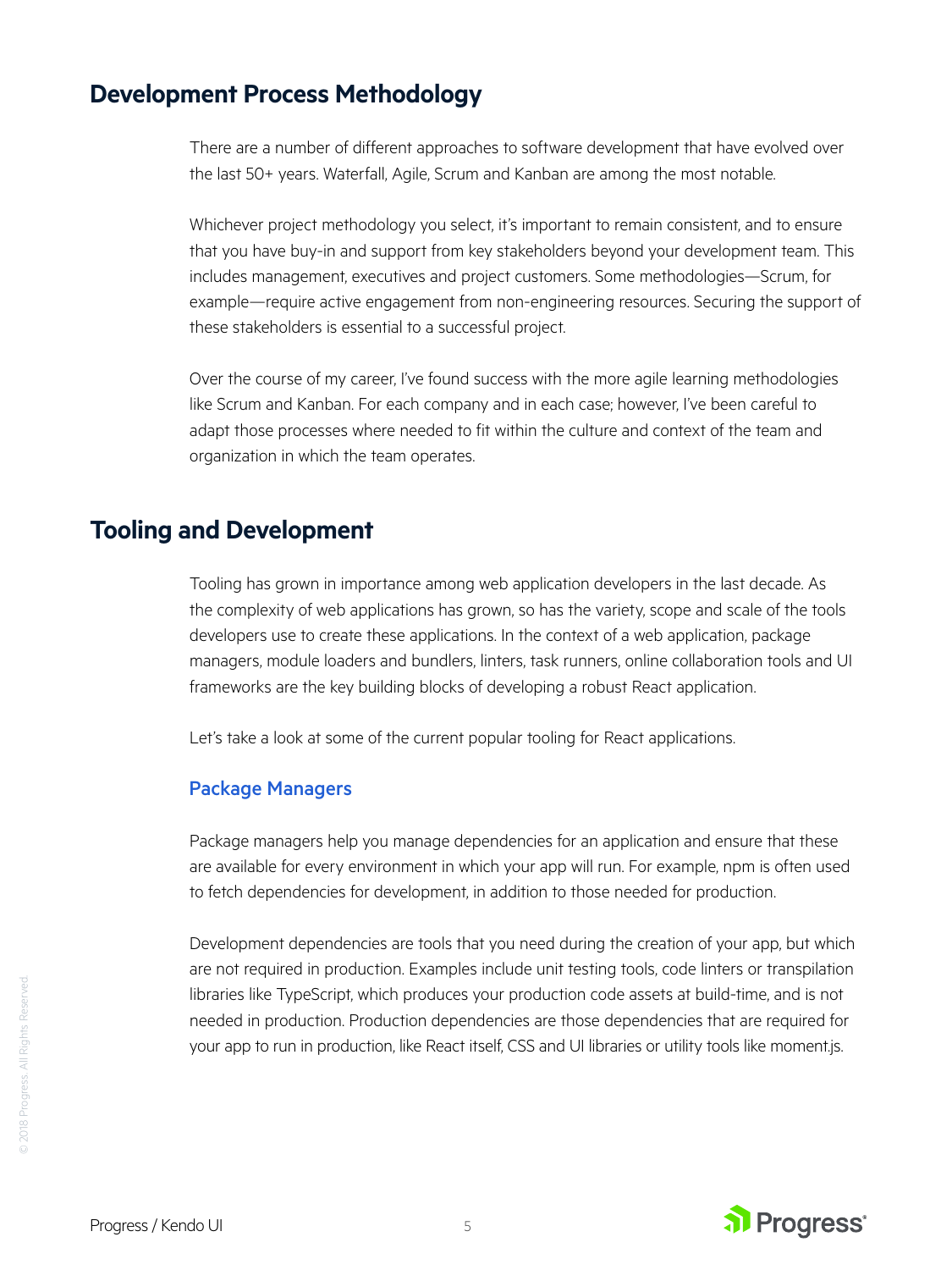## <span id="page-4-0"></span>**Development Process Methodology**

There are a number of different approaches to software development that have evolved over the last 50+ years. Waterfall, Agile, Scrum and Kanban are among the most notable.

Whichever project methodology you select, it's important to remain consistent, and to ensure that you have buy-in and support from key stakeholders beyond your development team. This includes management, executives and project customers. Some methodologies—Scrum, for example—require active engagement from non-engineering resources. Securing the support of these stakeholders is essential to a successful project.

Over the course of my career, I've found success with the more agile learning methodologies like Scrum and Kanban. For each company and in each case; however, I've been careful to adapt those processes where needed to fit within the culture and context of the team and organization in which the team operates.

# **Tooling and Development**

Tooling has grown in importance among web application developers in the last decade. As the complexity of web applications has grown, so has the variety, scope and scale of the tools developers use to create these applications. In the context of a web application, package managers, module loaders and bundlers, linters, task runners, online collaboration tools and UI frameworks are the key building blocks of developing a robust React application.

Let's take a look at some of the current popular tooling for React applications.

#### Package Managers

Package managers help you manage dependencies for an application and ensure that these are available for every environment in which your app will run. For example, npm is often used to fetch dependencies for development, in addition to those needed for production.

Development dependencies are tools that you need during the creation of your app, but which are not required in production. Examples include unit testing tools, code linters or transpilation libraries like TypeScript, which produces your production code assets at build-time, and is not needed in production. Production dependencies are those dependencies that are required for your app to run in production, like React itself, CSS and UI libraries or utility tools like moment.js.

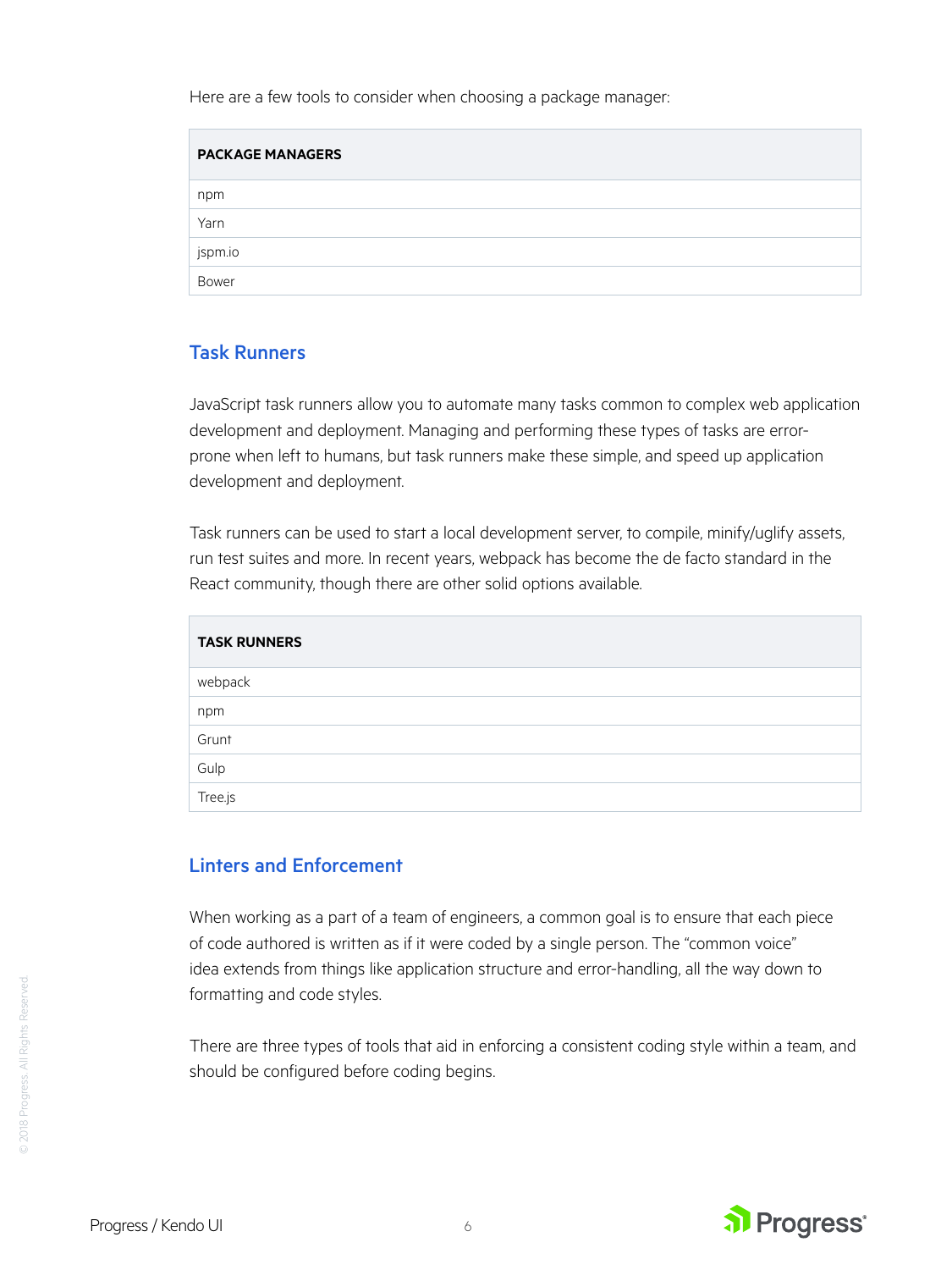Here are a few tools to consider when choosing a package manager:

| <b>PACKAGE MANAGERS</b> |
|-------------------------|
| npm                     |
| Yarn                    |
| jspm.io                 |
| Bower                   |

#### Task Runners

JavaScript task runners allow you to automate many tasks common to complex web application development and deployment. Managing and performing these types of tasks are errorprone when left to humans, but task runners make these simple, and speed up application development and deployment.

Task runners can be used to start a local development server, to compile, minify/uglify assets, run test suites and more. In recent years, webpack has become the de facto standard in the React community, though there are other solid options available.

| <b>TASK RUNNERS</b> |  |
|---------------------|--|
| webpack             |  |
| npm                 |  |
| Grunt               |  |
| Gulp                |  |
| Tree.js             |  |

#### Linters and Enforcement

When working as a part of a team of engineers, a common goal is to ensure that each piece of code authored is written as if it were coded by a single person. The "common voice" idea extends from things like application structure and error-handling, all the way down to formatting and code styles.

There are three types of tools that aid in enforcing a consistent coding style within a team, and should be configured before coding begins.

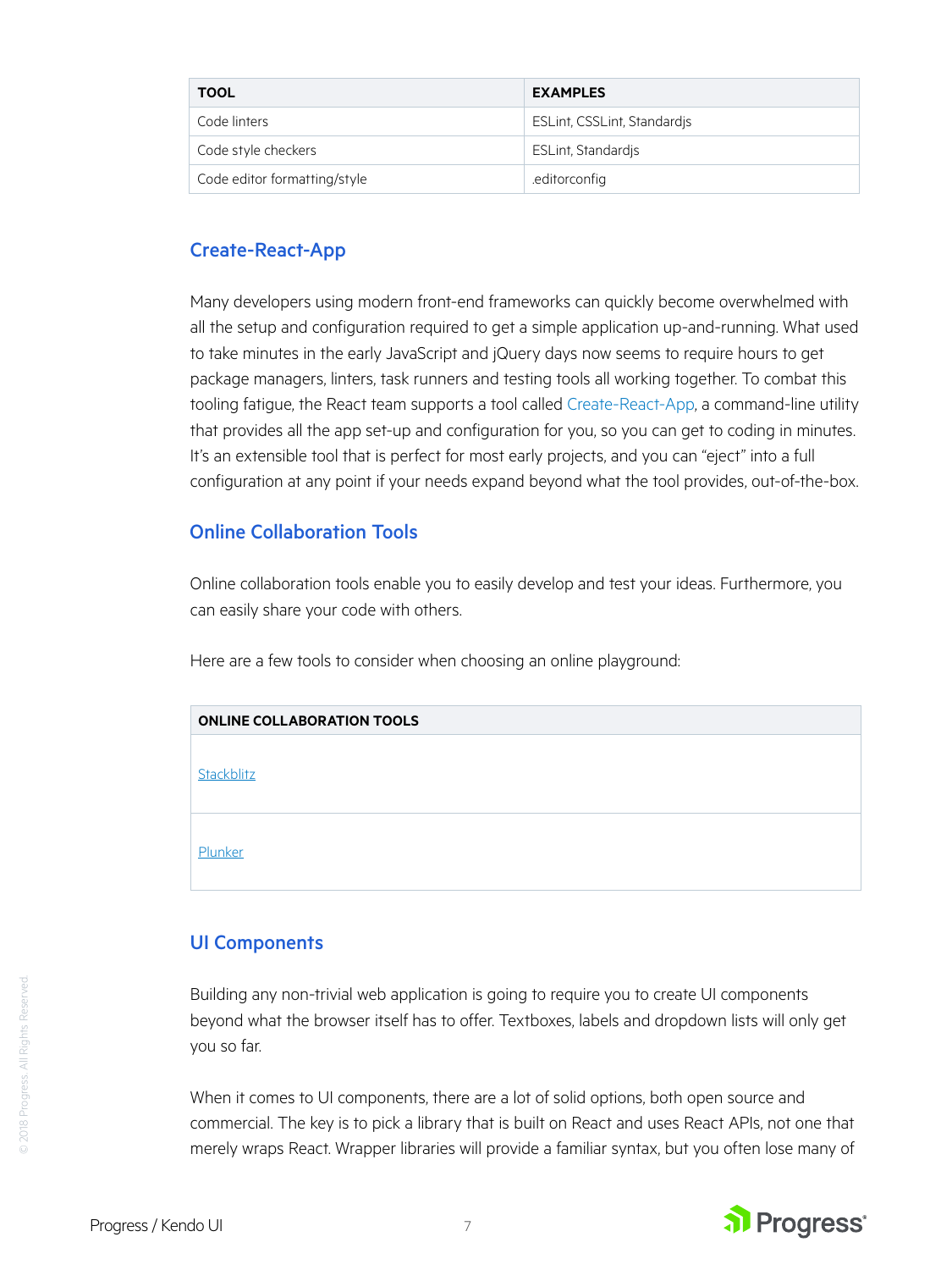| <b>TOOL</b>                  | <b>EXAMPLES</b>             |
|------------------------------|-----------------------------|
| Code linters                 | ESLint, CSSLint, Standardis |
| Code style checkers          | ESLint, Standardis          |
| Code editor formatting/style | .editorconfig               |

#### Create-React-App

Many developers using modern front-end frameworks can quickly become overwhelmed with all the setup and configuration required to get a simple application up-and-running. What used to take minutes in the early JavaScript and jQuery days now seems to require hours to get package managers, linters, task runners and testing tools all working together. To combat this tooling fatigue, the React team supports a tool called [Create-React-App](https://github.com/facebook/create-react-app), a command-line utility that provides all the app set-up and configuration for you, so you can get to coding in minutes. It's an extensible tool that is perfect for most early projects, and you can "eject" into a full configuration at any point if your needs expand beyond what the tool provides, out-of-the-box.

#### Online Collaboration Tools

Online collaboration tools enable you to easily develop and test your ideas. Furthermore, you can easily share your code with others.

Here are a few tools to consider when choosing an online playground:

| <b>ONLINE COLLABORATION TOOLS</b> |  |
|-----------------------------------|--|
| Stackblitz                        |  |
| Plunker                           |  |

#### UI Components

Building any non-trivial web application is going to require you to create UI components beyond what the browser itself has to offer. Textboxes, labels and dropdown lists will only get you so far.

When it comes to UI components, there are a lot of solid options, both open source and commercial. The key is to pick a library that is built on React and uses React APIs, not one that merely wraps React. Wrapper libraries will provide a familiar syntax, but you often lose many of

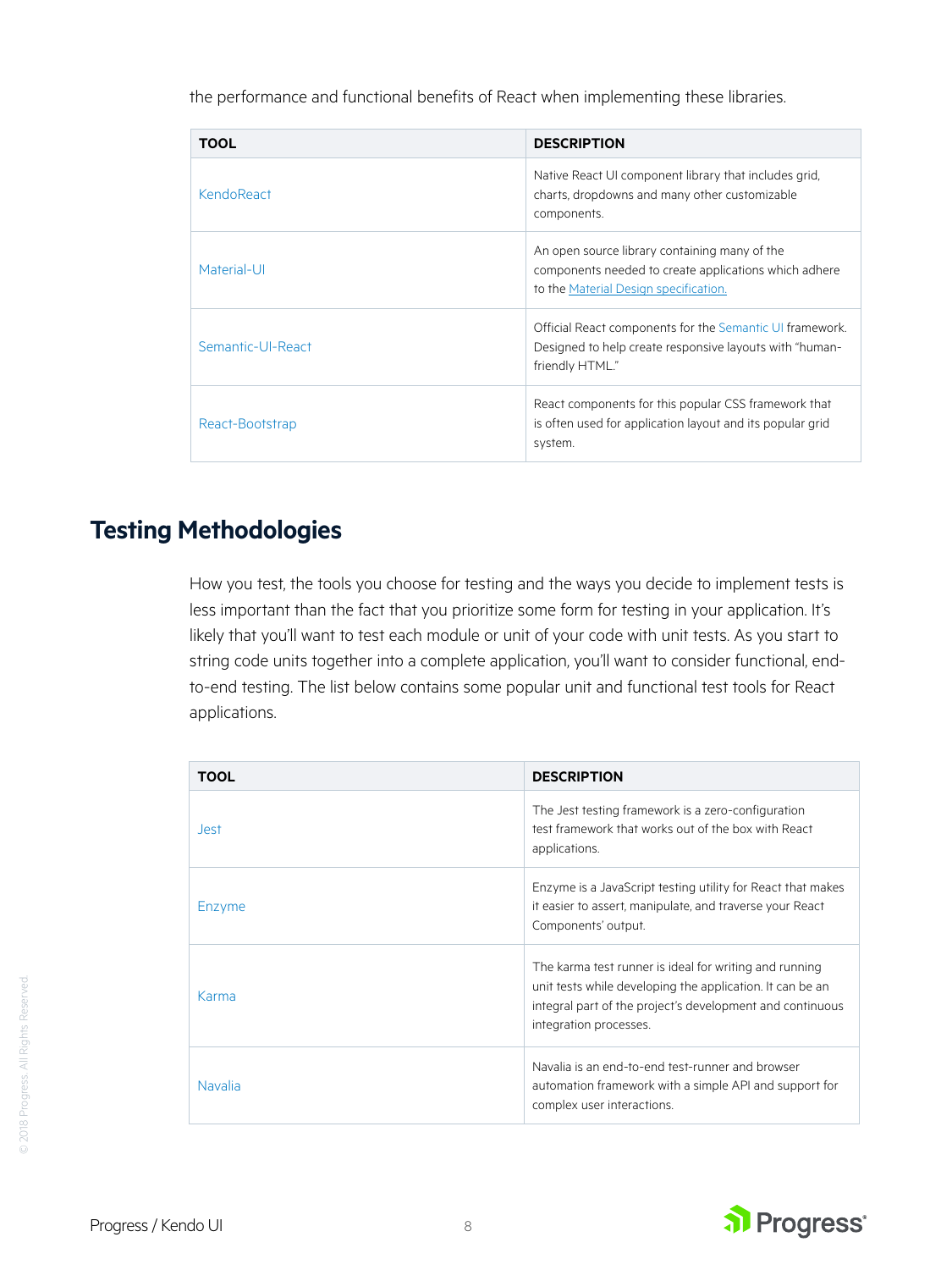<span id="page-7-0"></span>the performance and functional benefits of React when implementing these libraries.

| <b>TOOL</b>       | <b>DESCRIPTION</b>                                                                                                                              |
|-------------------|-------------------------------------------------------------------------------------------------------------------------------------------------|
| KendoReact        | Native React UI component library that includes grid.<br>charts, dropdowns and many other customizable<br>components.                           |
| Material-UI       | An open source library containing many of the<br>components needed to create applications which adhere<br>to the Material Design specification. |
| Semantic-UI-React | Official React components for the Semantic UI framework.<br>Designed to help create responsive layouts with "human-<br>friendly HTML."          |
| React-Bootstrap   | React components for this popular CSS framework that<br>is often used for application layout and its popular grid<br>system.                    |

# **Testing Methodologies**

How you test, the tools you choose for testing and the ways you decide to implement tests is less important than the fact that you prioritize some form for testing in your application. It's likely that you'll want to test each module or unit of your code with unit tests. As you start to string code units together into a complete application, you'll want to consider functional, endto-end testing. The list below contains some popular unit and functional test tools for React applications.

| <b>TOOL</b>    | <b>DESCRIPTION</b>                                                                                                                                                                                         |
|----------------|------------------------------------------------------------------------------------------------------------------------------------------------------------------------------------------------------------|
| <b>Jest</b>    | The Jest testing framework is a zero-configuration<br>test framework that works out of the box with React<br>applications.                                                                                 |
| Enzyme         | Enzyme is a JavaScript testing utility for React that makes<br>it easier to assert, manipulate, and traverse your React<br>Components' output.                                                             |
| Karma          | The karma test runner is ideal for writing and running<br>unit tests while developing the application. It can be an<br>integral part of the project's development and continuous<br>integration processes. |
| <b>Navalia</b> | Navalia is an end-to-end test-runner and browser<br>automation framework with a simple API and support for<br>complex user interactions.                                                                   |

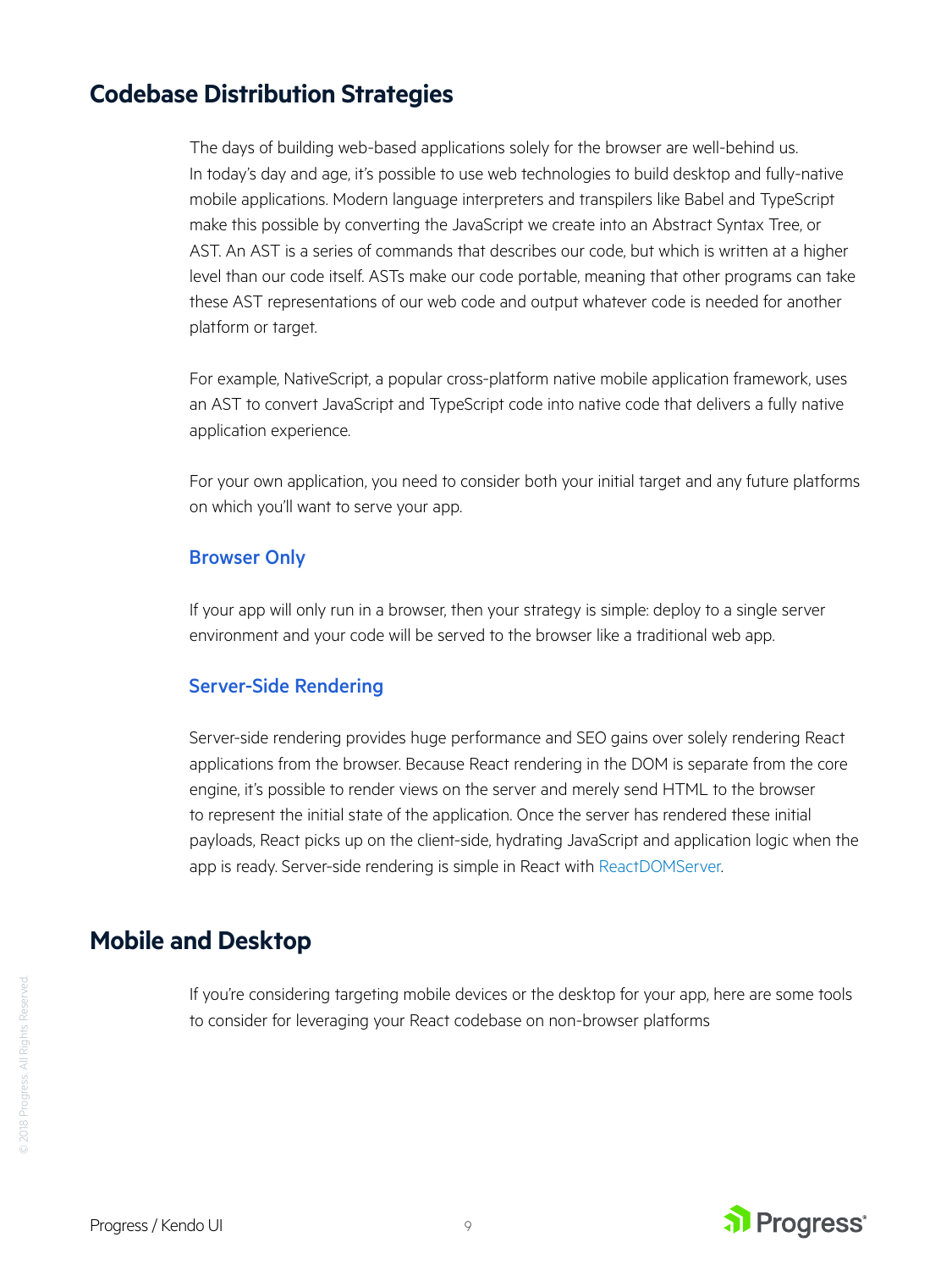# <span id="page-8-0"></span>**Codebase Distribution Strategies**

The days of building web-based applications solely for the browser are well-behind us. In today's day and age, it's possible to use web technologies to build desktop and fully-native mobile applications. Modern language interpreters and transpilers like Babel and TypeScript make this possible by converting the JavaScript we create into an Abstract Syntax Tree, or AST. An AST is a series of commands that describes our code, but which is written at a higher level than our code itself. ASTs make our code portable, meaning that other programs can take these AST representations of our web code and output whatever code is needed for another platform or target.

For example, NativeScript, a popular cross-platform native mobile application framework, uses an AST to convert JavaScript and TypeScript code into native code that delivers a fully native application experience.

For your own application, you need to consider both your initial target and any future platforms on which you'll want to serve your app.

#### Browser Only

If your app will only run in a browser, then your strategy is simple: deploy to a single server environment and your code will be served to the browser like a traditional web app.

#### Server-Side Rendering

Server-side rendering provides huge performance and SEO gains over solely rendering React applications from the browser. Because React rendering in the DOM is separate from the core engine, it's possible to render views on the server and merely send HTML to the browser to represent the initial state of the application. Once the server has rendered these initial payloads, React picks up on the client-side, hydrating JavaScript and application logic when the app is ready. Server-side rendering is simple in React with [ReactDOMServer.](https://reactjs.org/docs/react-dom-server.html)

### **Mobile and Desktop**

If you're considering targeting mobile devices or the desktop for your app, here are some tools to consider for leveraging your React codebase on non-browser platforms



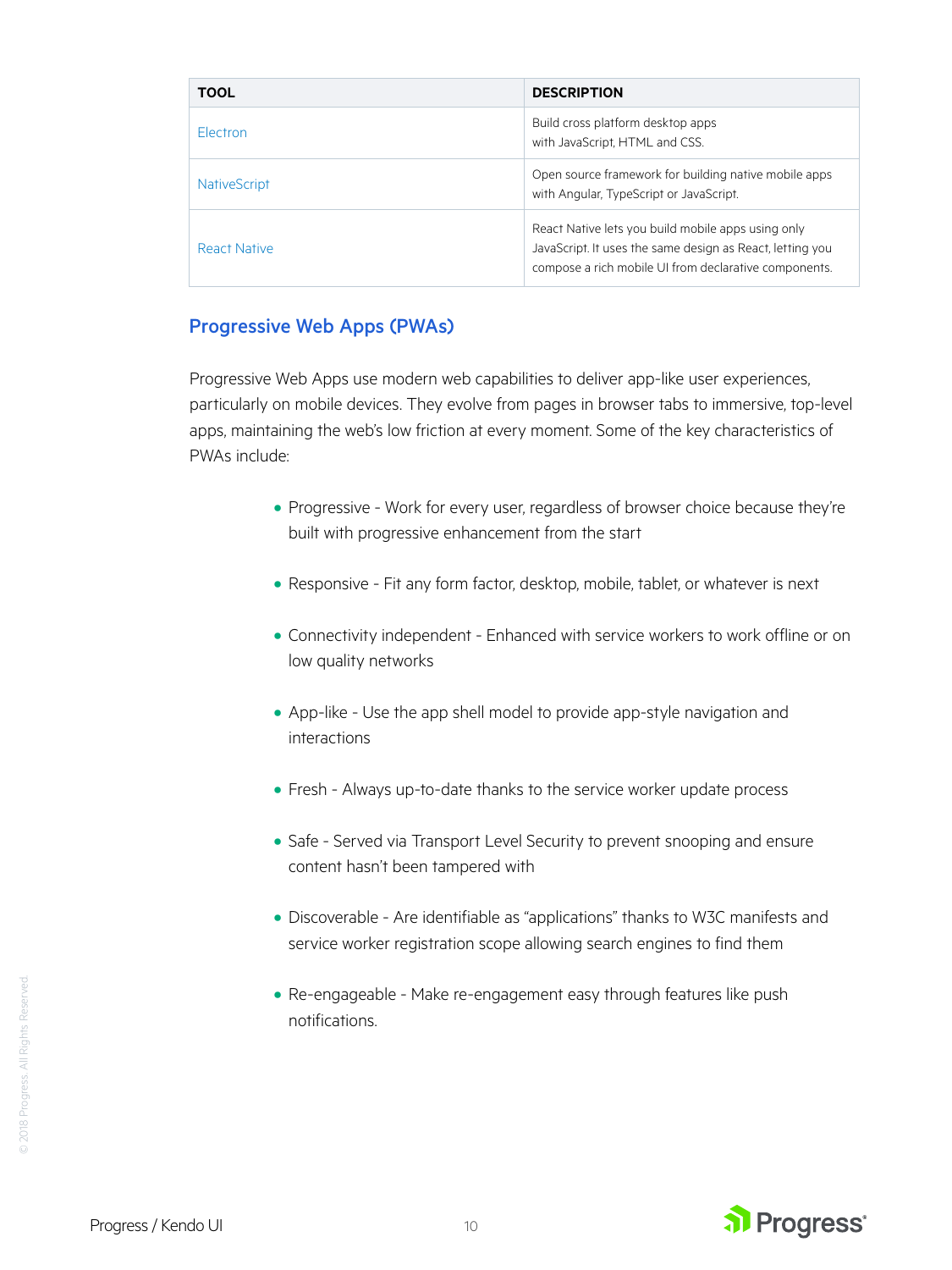| <b>TOOL</b>         | <b>DESCRIPTION</b>                                                                                                                                                       |
|---------------------|--------------------------------------------------------------------------------------------------------------------------------------------------------------------------|
| <b>Flectron</b>     | Build cross platform desktop apps<br>with JavaScript, HTML and CSS.                                                                                                      |
| <b>NativeScript</b> | Open source framework for building native mobile apps<br>with Angular, TypeScript or JavaScript.                                                                         |
| <b>React Native</b> | React Native lets you build mobile apps using only<br>JavaScript. It uses the same design as React, letting you<br>compose a rich mobile UI from declarative components. |

#### Progressive Web Apps (PWAs)

Progressive Web Apps use modern web capabilities to deliver app-like user experiences, particularly on mobile devices. They evolve from pages in browser tabs to immersive, top-level apps, maintaining the web's low friction at every moment. Some of the key characteristics of PWAs include:

- **•** Progressive Work for every user, regardless of browser choice because they're built with progressive enhancement from the start
- **•** Responsive Fit any form factor, desktop, mobile, tablet, or whatever is next
- **•** Connectivity independent Enhanced with service workers to work offline or on low quality networks
- **•** App-like Use the app shell model to provide app-style navigation and interactions
- **•** Fresh Always up-to-date thanks to the service worker update process
- **•** Safe Served via Transport Level Security to prevent snooping and ensure content hasn't been tampered with
- **•** Discoverable Are identifiable as "applications" thanks to W3C manifests and service worker registration scope allowing search engines to find them
- **•** Re-engageable Make re-engagement easy through features like push notifications.



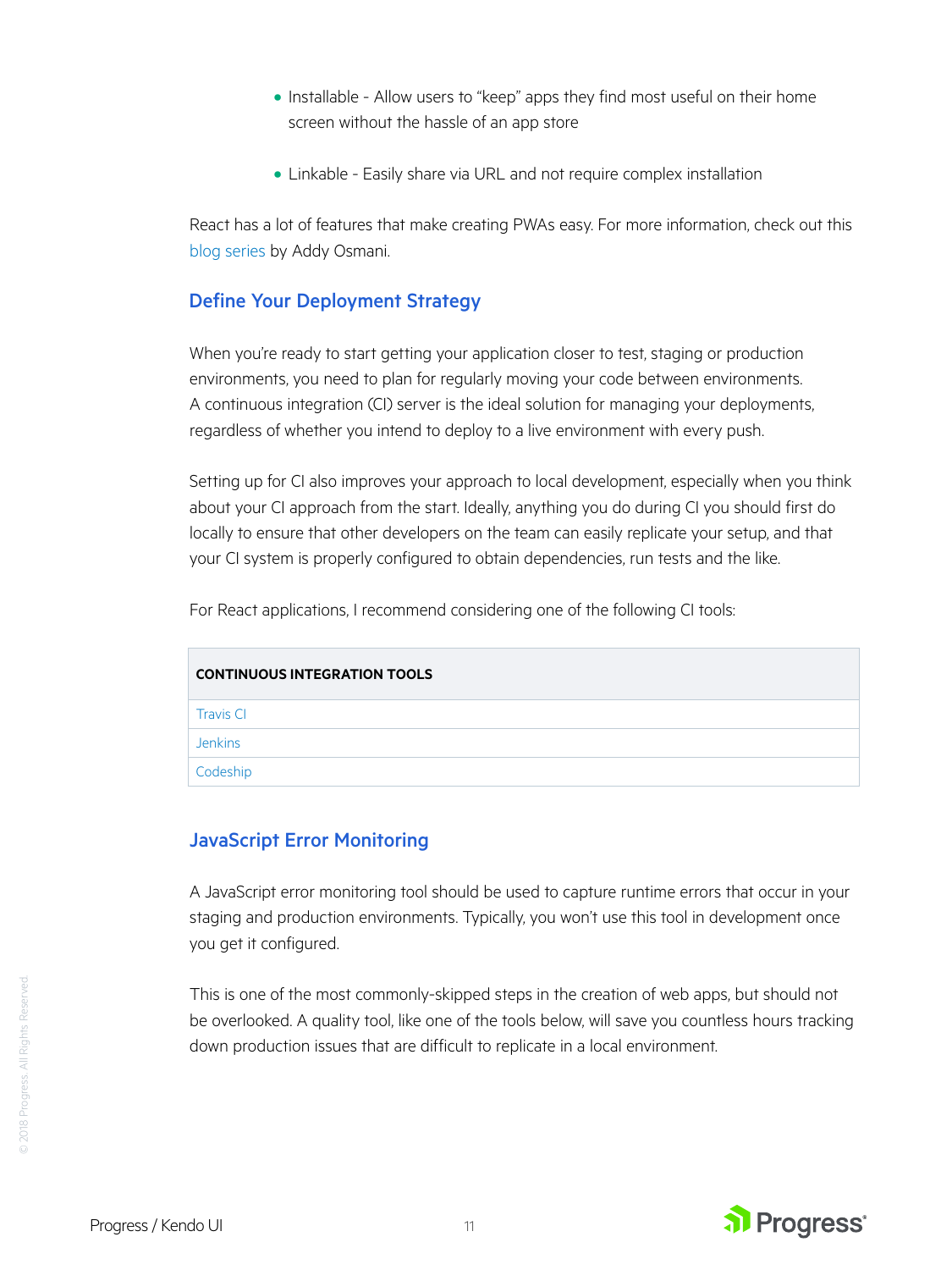- <span id="page-10-0"></span>**•** Installable - Allow users to "keep" apps they find most useful on their home screen without the hassle of an app store
- **•** Linkable Easily share via URL and not require complex installation

React has a lot of features that make creating PWAs easy. For more information, check out this [blog series](https://medium.com/@addyosmani/progressive-web-apps-with-react-js-part-i-introduction-50679aef2b12) by Addy Osmani.

#### Define Your Deployment Strategy

When you're ready to start getting your application closer to test, staging or production environments, you need to plan for regularly moving your code between environments. A continuous integration (CI) server is the ideal solution for managing your deployments, regardless of whether you intend to deploy to a live environment with every push.

Setting up for CI also improves your approach to local development, especially when you think about your CI approach from the start. Ideally, anything you do during CI you should first do locally to ensure that other developers on the team can easily replicate your setup, and that your CI system is properly configured to obtain dependencies, run tests and the like.

For React applications, I recommend considering one of the following CI tools:

| <b>CONTINUOUS INTEGRATION TOOLS</b> |  |
|-------------------------------------|--|
| <b>Travis CI</b>                    |  |
| <b>Jenkins</b>                      |  |
| Codeship                            |  |

#### JavaScript Error Monitoring

A JavaScript error monitoring tool should be used to capture runtime errors that occur in your staging and production environments. Typically, you won't use this tool in development once you get it configured.

This is one of the most commonly-skipped steps in the creation of web apps, but should not be overlooked. A quality tool, like one of the tools below, will save you countless hours tracking down production issues that are difficult to replicate in a local environment.

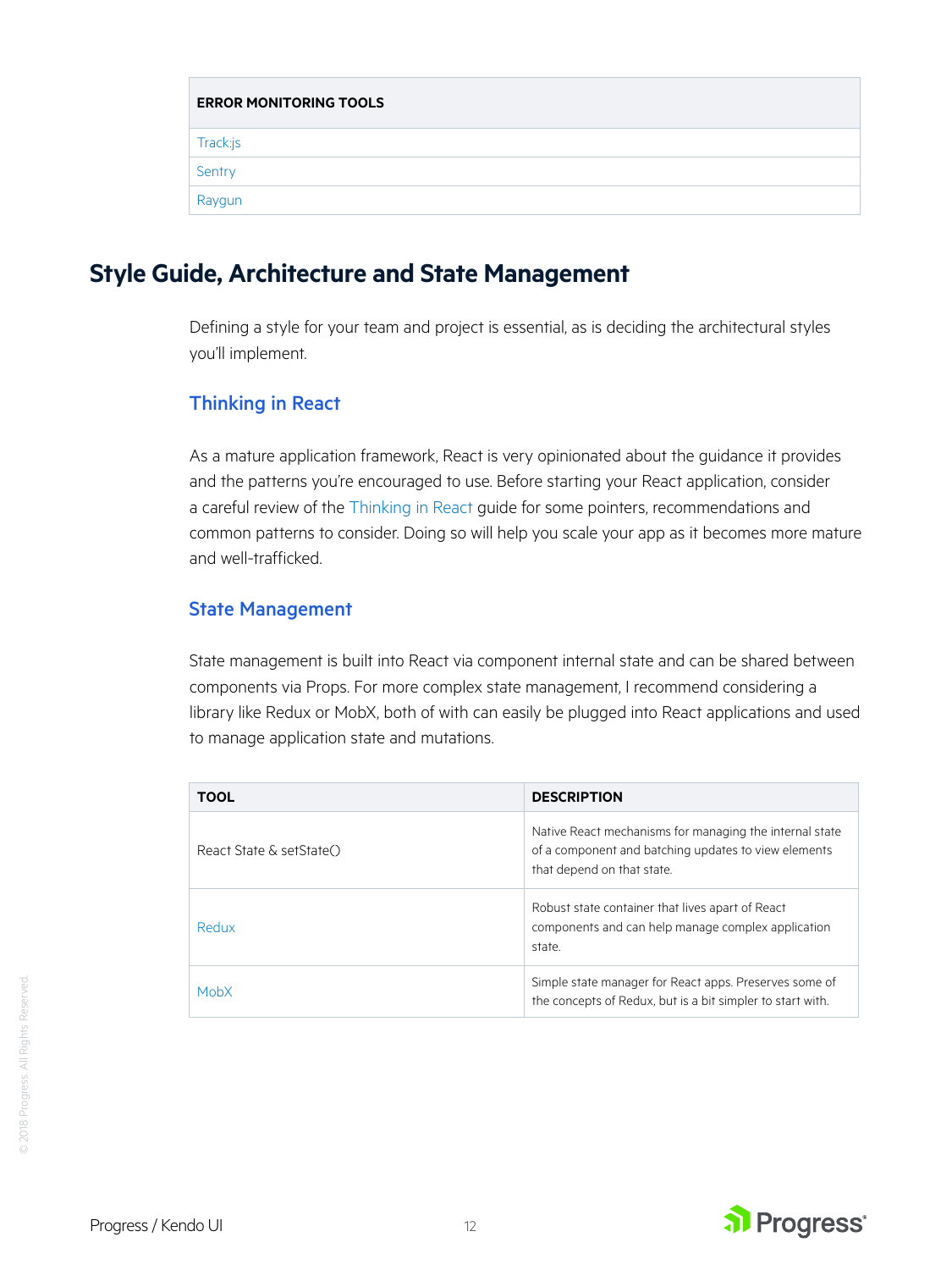<span id="page-11-0"></span>

| <b>ERROR MONITORING TOOLS</b> |
|-------------------------------|
| Track:js                      |
| Sentry                        |
| Raygun                        |

# **Style Guide, Architecture and State Management**

Defining a style for your team and project is essential, as is deciding the architectural styles you'll implement.

#### Thinking in React

As a mature application framework, React is very opinionated about the guidance it provides and the patterns you're encouraged to use. Before starting your React application, consider a careful review of the [Thinking in React](https://reactjs.org/docs/thinking-in-react.html) guide for some pointers, recommendations and common patterns to consider. Doing so will help you scale your app as it becomes more mature and well-trafficked.

#### State Management

State management is built into React via component internal state and can be shared between components via Props. For more complex state management, I recommend considering a library like Redux or MobX, both of with can easily be plugged into React applications and used to manage application state and mutations.

| <b>TOOL</b>              | <b>DESCRIPTION</b>                                                                                                                            |
|--------------------------|-----------------------------------------------------------------------------------------------------------------------------------------------|
| React State & setState() | Native React mechanisms for managing the internal state<br>of a component and batching updates to view elements<br>that depend on that state. |
| Redux                    | Robust state container that lives apart of React<br>components and can help manage complex application<br>state.                              |
| MobX                     | Simple state manager for React apps. Preserves some of<br>the concepts of Redux, but is a bit simpler to start with.                          |

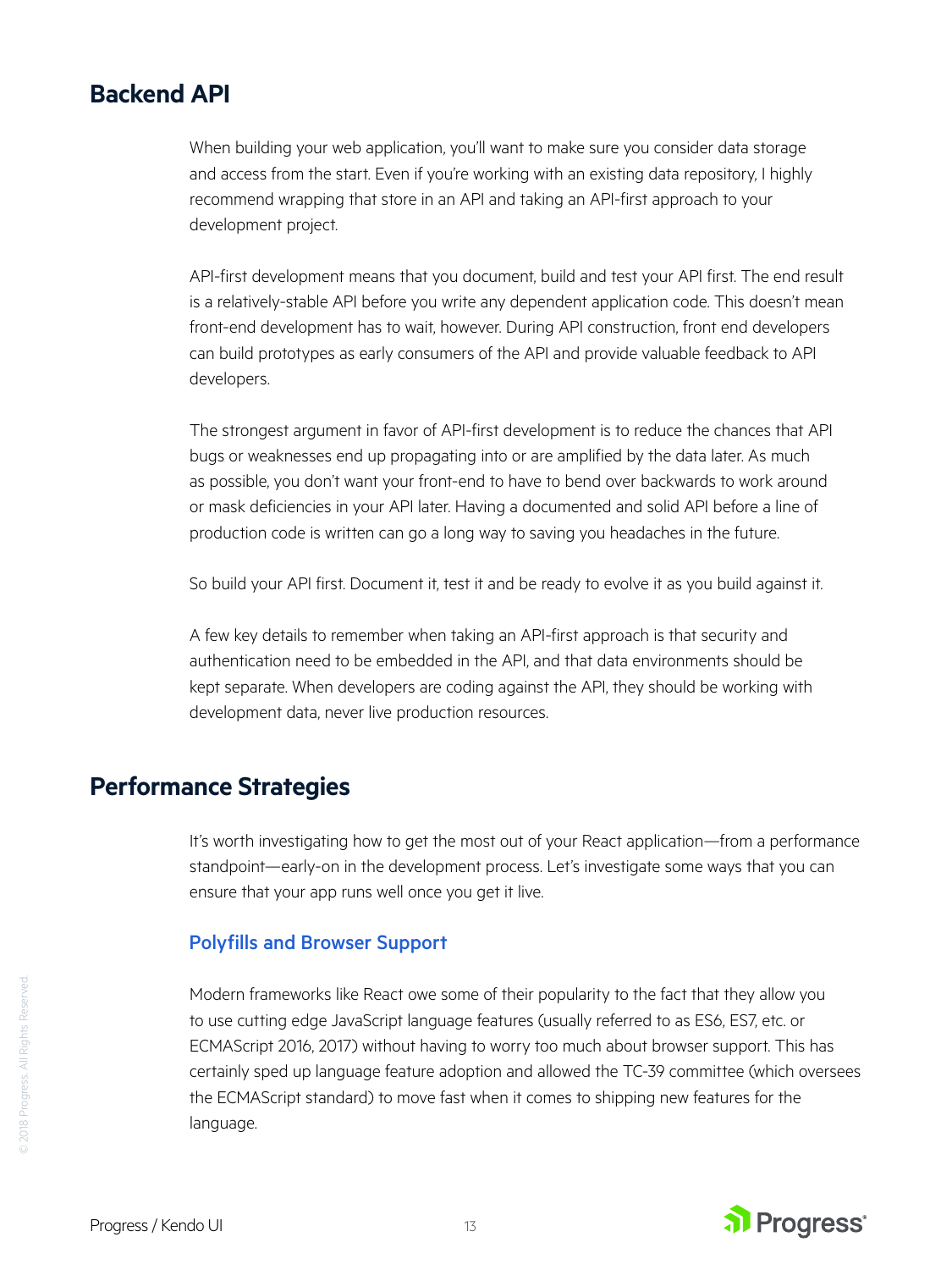### <span id="page-12-0"></span>**Backend API**

When building your web application, you'll want to make sure you consider data storage and access from the start. Even if you're working with an existing data repository, I highly recommend wrapping that store in an API and taking an API-first approach to your development project.

API-first development means that you document, build and test your API first. The end result is a relatively-stable API before you write any dependent application code. This doesn't mean front-end development has to wait, however. During API construction, front end developers can build prototypes as early consumers of the API and provide valuable feedback to API developers.

The strongest argument in favor of API-first development is to reduce the chances that API bugs or weaknesses end up propagating into or are amplified by the data later. As much as possible, you don't want your front-end to have to bend over backwards to work around or mask deficiencies in your API later. Having a documented and solid API before a line of production code is written can go a long way to saving you headaches in the future.

So build your API first. Document it, test it and be ready to evolve it as you build against it.

A few key details to remember when taking an API-first approach is that security and authentication need to be embedded in the API, and that data environments should be kept separate. When developers are coding against the API, they should be working with development data, never live production resources.

# **Performance Strategies**

It's worth investigating how to get the most out of your React application—from a performance standpoint—early-on in the development process. Let's investigate some ways that you can ensure that your app runs well once you get it live.

#### Polyfills and Browser Support

Modern frameworks like React owe some of their popularity to the fact that they allow you to use cutting edge JavaScript language features (usually referred to as ES6, ES7, etc. or ECMAScript 2016, 2017) without having to worry too much about browser support. This has certainly sped up language feature adoption and allowed the TC-39 committee (which oversees the ECMAScript standard) to move fast when it comes to shipping new features for the language.



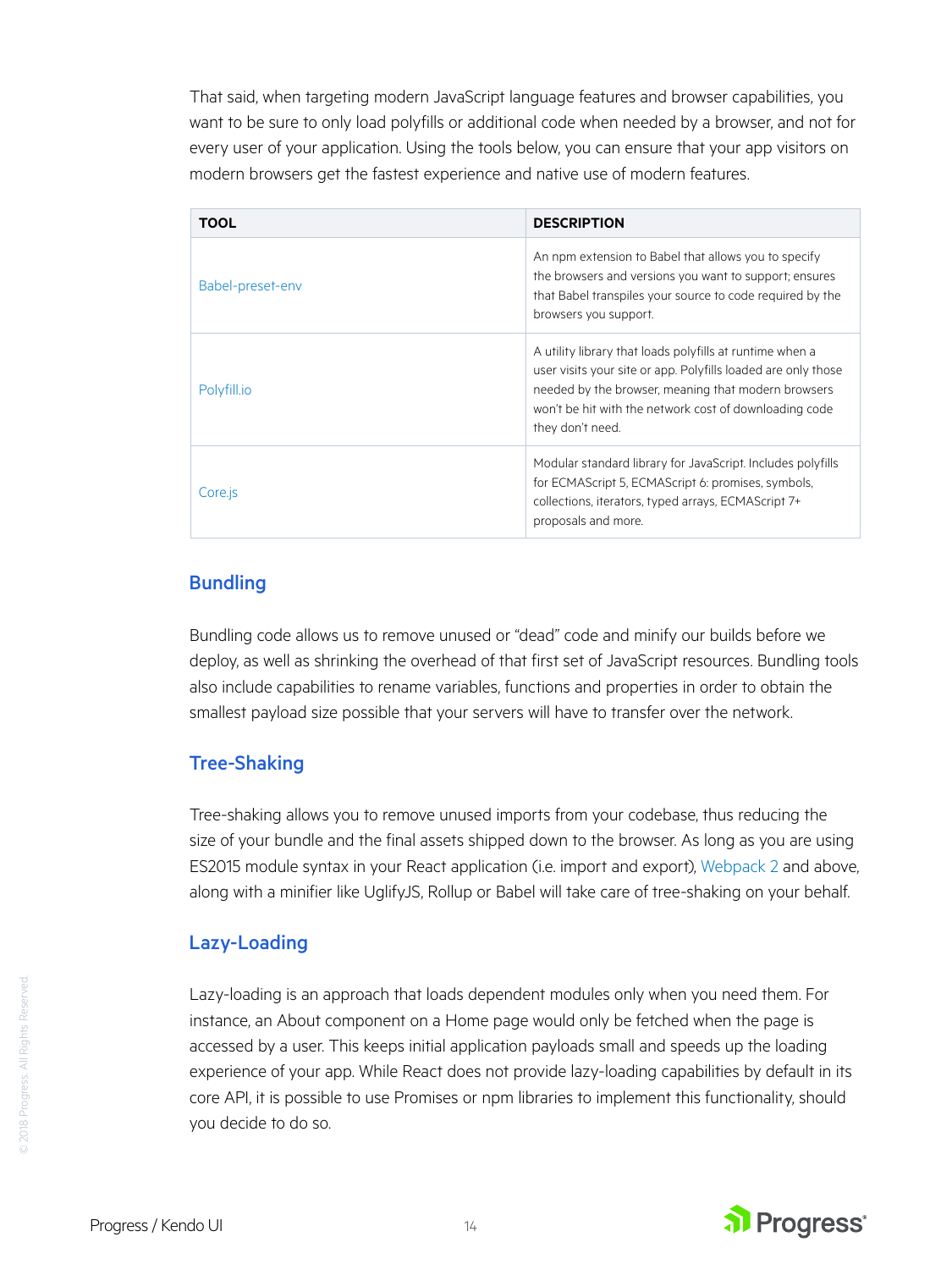That said, when targeting modern JavaScript language features and browser capabilities, you want to be sure to only load polyfills or additional code when needed by a browser, and not for every user of your application. Using the tools below, you can ensure that your app visitors on modern browsers get the fastest experience and native use of modern features.

| <b>TOOL</b>      | <b>DESCRIPTION</b>                                                                                                                                                                                                                                             |
|------------------|----------------------------------------------------------------------------------------------------------------------------------------------------------------------------------------------------------------------------------------------------------------|
| Babel-preset-env | An npm extension to Babel that allows you to specify<br>the browsers and versions you want to support; ensures<br>that Babel transpiles your source to code required by the<br>browsers you support.                                                           |
| Polyfill.io      | A utility library that loads polyfills at runtime when a<br>user visits your site or app. Polyfills loaded are only those<br>needed by the browser, meaning that modern browsers<br>won't be hit with the network cost of downloading code<br>they don't need. |
| Core.js          | Modular standard library for JavaScript. Includes polyfills<br>for ECMAScript 5, ECMAScript 6: promises, symbols,<br>collections, iterators, typed arrays, ECMAScript 7+<br>proposals and more.                                                                |

#### **Bundling**

Bundling code allows us to remove unused or "dead" code and minify our builds before we deploy, as well as shrinking the overhead of that first set of JavaScript resources. Bundling tools also include capabilities to rename variables, functions and properties in order to obtain the smallest payload size possible that your servers will have to transfer over the network.

#### Tree-Shaking

Tree-shaking allows you to remove unused imports from your codebase, thus reducing the size of your bundle and the final assets shipped down to the browser. As long as you are using ES2015 module syntax in your React application (i.e. import and export), [Webpack 2](https://webpack.js.org/guides/tree-shaking/) and above, along with a minifier like UglifyJS, Rollup or Babel will take care of tree-shaking on your behalf.

#### Lazy-Loading

Lazy-loading is an approach that loads dependent modules only when you need them. For instance, an About component on a Home page would only be fetched when the page is accessed by a user. This keeps initial application payloads small and speeds up the loading experience of your app. While React does not provide lazy-loading capabilities by default in its core API, it is possible to use Promises or npm libraries to implement this functionality, should you decide to do so.



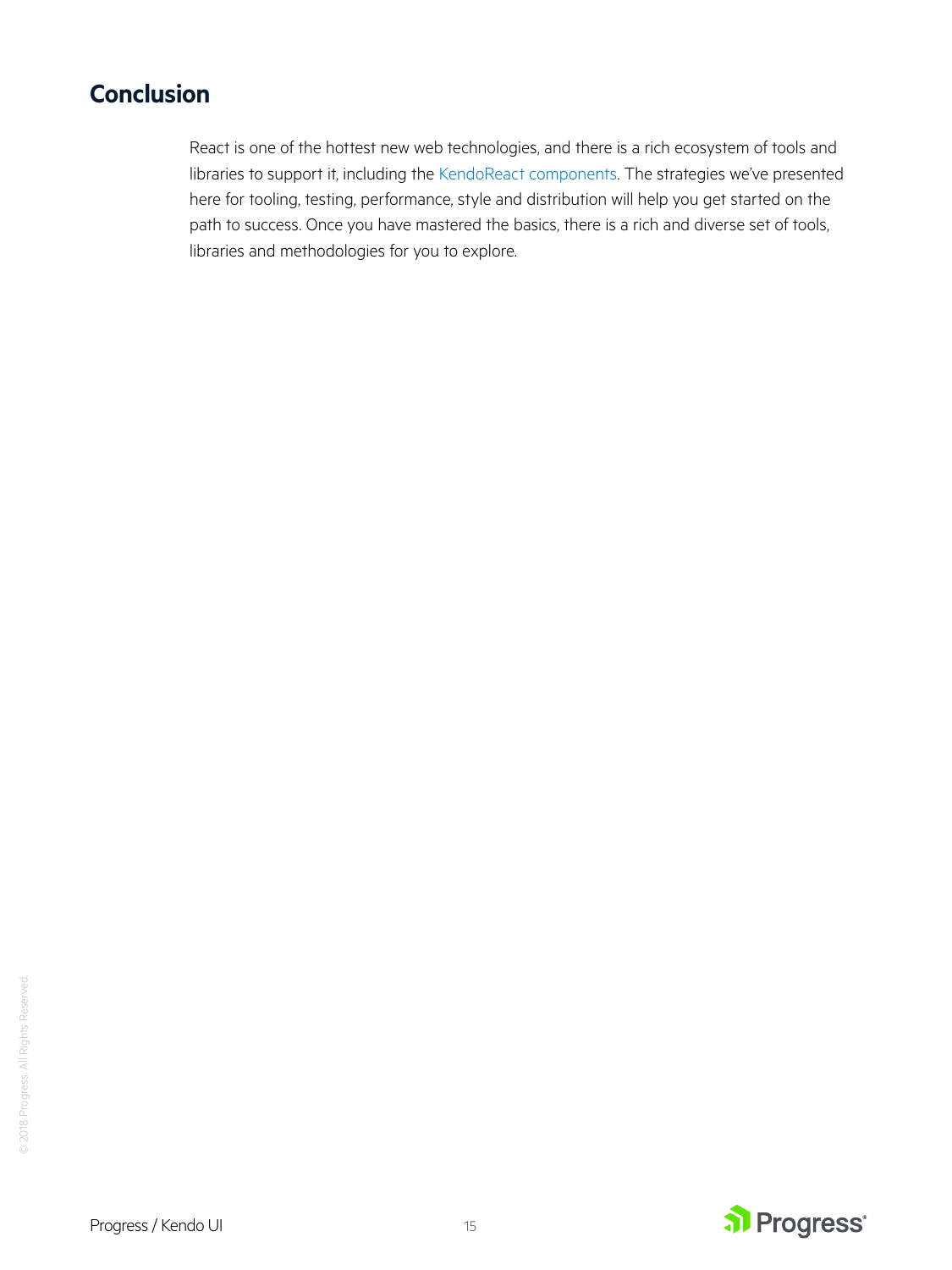# **Conclusion**

React is one of the hottest new web technologies, and there is a rich ecosystem of tools and libraries to support it, including the [KendoReact components](https://www.telerik.com/kendo-react-ui?utm_medium=pdf&utm_source=whitepaper&utm_campaign=kendo-ui-whitepaper-planreactapp). The strategies we've presented here for tooling, testing, performance, style and distribution will help you get started on the path to success. Once you have mastered the basics, there is a rich and diverse set of tools, libraries and methodologies for you to explore.